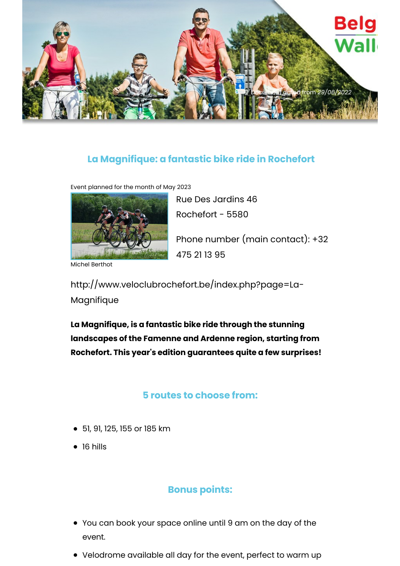

## **La Magnifique: a fantastic bike ride in Rochefort**

Event planned for the month of May 2023



Michel Berthot

Rue Des Jardins 46 Rochefort - 5580 Phone number (main contact): +32 475 21 13 95

http://www.veloclubrochefort.be/index.php?page=La-Magnifique

**La Magnifique, is a fantastic bike ride through the stunning landscapes of the Famenne and Ardenne region, starting from Rochefort. This year's edition guarantees quite a few surprises!**

## **5 routes to choose from:**

- 51, 91, 125, 155 or 185 km
- 16 hills

## **Bonus points:**

- You can book your space online until 9 am on the day of the event.
- Velodrome available all day for the event, perfect to warm up